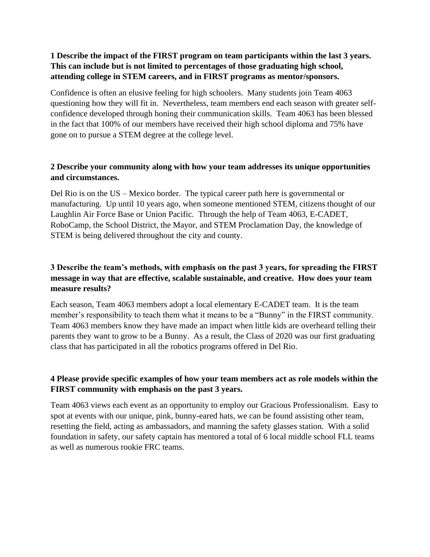#### **1 Describe the impact of the FIRST program on team participants within the last 3 years. This can include but is not limited to percentages of those graduating high school, attending college in STEM careers, and in FIRST programs as mentor/sponsors.**

Confidence is often an elusive feeling for high schoolers. Many students join Team 4063 questioning how they will fit in. Nevertheless, team members end each season with greater selfconfidence developed through honing their communication skills. Team 4063 has been blessed in the fact that 100% of our members have received their high school diploma and 75% have gone on to pursue a STEM degree at the college level.

### **2 Describe your community along with how your team addresses its unique opportunities and circumstances.**

Del Rio is on the US – Mexico border. The typical career path here is governmental or manufacturing. Up until 10 years ago, when someone mentioned STEM, citizens thought of our Laughlin Air Force Base or Union Pacific. Through the help of Team 4063, E-CADET, RoboCamp, the School District, the Mayor, and STEM Proclamation Day, the knowledge of STEM is being delivered throughout the city and county.

### **3 Describe the team's methods, with emphasis on the past 3 years, for spreading the FIRST message in way that are effective, scalable sustainable, and creative. How does your team measure results?**

Each season, Team 4063 members adopt a local elementary E-CADET team. It is the team member's responsibility to teach them what it means to be a "Bunny" in the FIRST community. Team 4063 members know they have made an impact when little kids are overheard telling their parents they want to grow to be a Bunny. As a result, the Class of 2020 was our first graduating class that has participated in all the robotics programs offered in Del Rio.

# **4 Please provide specific examples of how your team members act as role models within the FIRST community with emphasis on the past 3 years.**

Team 4063 views each event as an opportunity to employ our Gracious Professionalism. Easy to spot at events with our unique, pink, bunny-eared hats, we can be found assisting other team, resetting the field, acting as ambassadors, and manning the safety glasses station. With a solid foundation in safety, our safety captain has mentored a total of 6 local middle school FLL teams as well as numerous rookie FRC teams.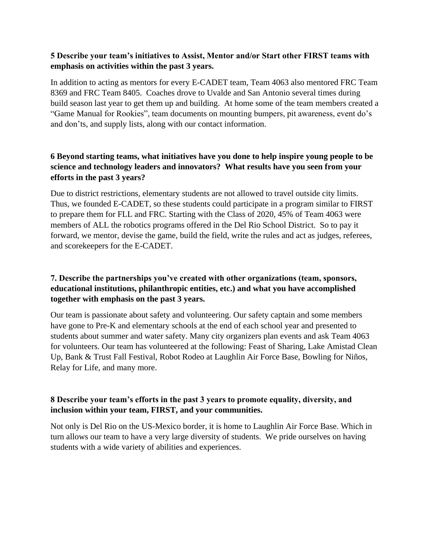#### **5 Describe your team's initiatives to Assist, Mentor and/or Start other FIRST teams with emphasis on activities within the past 3 years.**

In addition to acting as mentors for every E-CADET team, Team 4063 also mentored FRC Team 8369 and FRC Team 8405. Coaches drove to Uvalde and San Antonio several times during build season last year to get them up and building. At home some of the team members created a "Game Manual for Rookies", team documents on mounting bumpers, pit awareness, event do's and don'ts, and supply lists, along with our contact information.

# **6 Beyond starting teams, what initiatives have you done to help inspire young people to be science and technology leaders and innovators? What results have you seen from your efforts in the past 3 years?**

Due to district restrictions, elementary students are not allowed to travel outside city limits. Thus, we founded E-CADET, so these students could participate in a program similar to FIRST to prepare them for FLL and FRC. Starting with the Class of 2020, 45% of Team 4063 were members of ALL the robotics programs offered in the Del Rio School District. So to pay it forward, we mentor, devise the game, build the field, write the rules and act as judges, referees, and scorekeepers for the E-CADET.

# **7. Describe the partnerships you've created with other organizations (team, sponsors, educational institutions, philanthropic entities, etc.) and what you have accomplished together with emphasis on the past 3 years.**

Our team is passionate about safety and volunteering. Our safety captain and some members have gone to Pre-K and elementary schools at the end of each school year and presented to students about summer and water safety. Many city organizers plan events and ask Team 4063 for volunteers. Our team has volunteered at the following: Feast of Sharing, Lake Amistad Clean Up, Bank & Trust Fall Festival, Robot Rodeo at Laughlin Air Force Base, Bowling for Niños, Relay for Life, and many more.

# **8 Describe your team's efforts in the past 3 years to promote equality, diversity, and inclusion within your team, FIRST, and your communities.**

Not only is Del Rio on the US-Mexico border, it is home to Laughlin Air Force Base. Which in turn allows our team to have a very large diversity of students. We pride ourselves on having students with a wide variety of abilities and experiences.